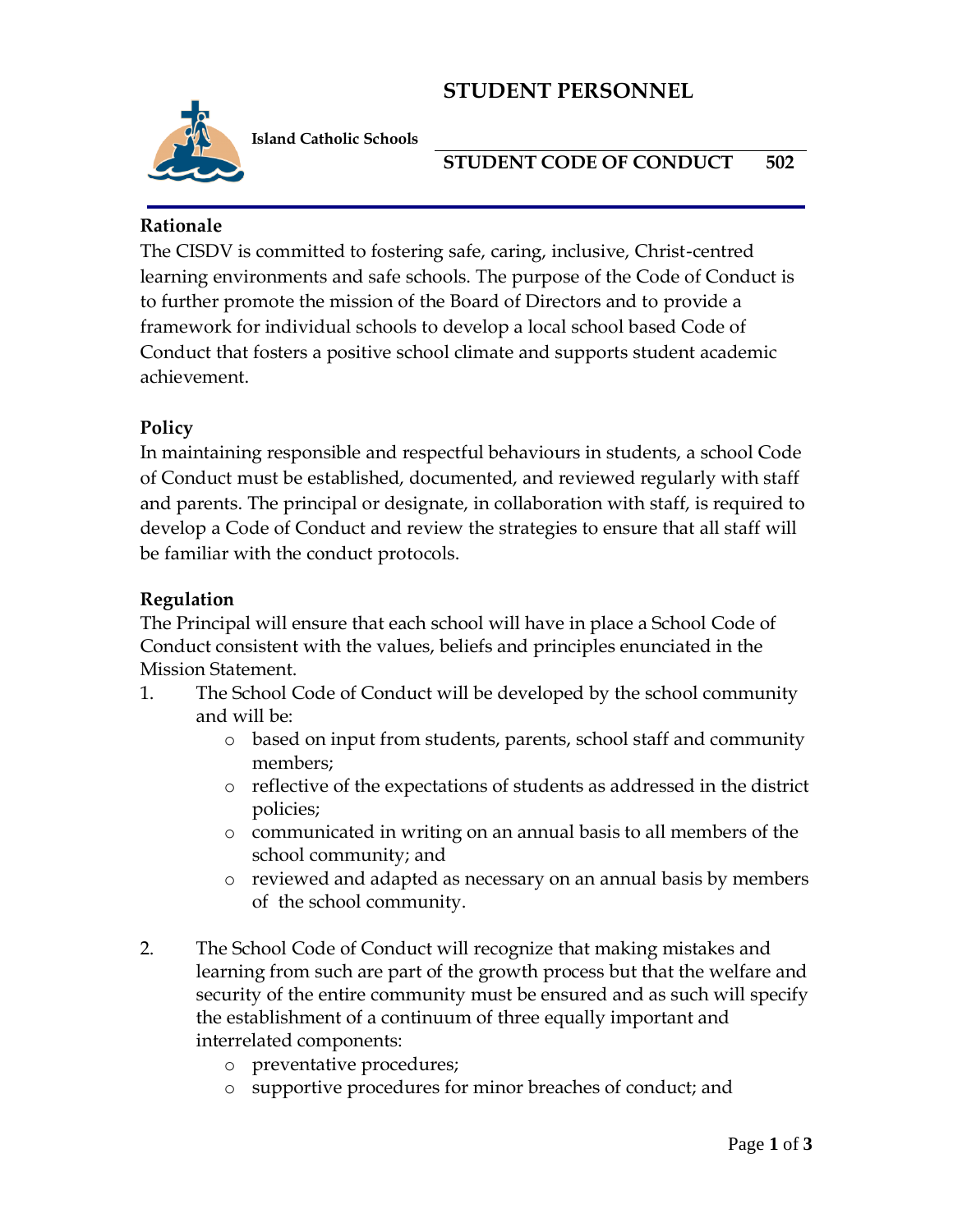# **STUDENT PERSONNEL**



**Island Catholic Schools** 

**STUDENT CODE OF CONDUCT 502**

#### **Rationale**

The CISDV is committed to fostering safe, caring, inclusive, Christ-centred learning environments and safe schools. The purpose of the Code of Conduct is to further promote the mission of the Board of Directors and to provide a framework for individual schools to develop a local school based Code of Conduct that fosters a positive school climate and supports student academic achievement.

### **Policy**

In maintaining responsible and respectful behaviours in students, a school Code of Conduct must be established, documented, and reviewed regularly with staff and parents. The principal or designate, in collaboration with staff, is required to develop a Code of Conduct and review the strategies to ensure that all staff will be familiar with the conduct protocols.

#### **Regulation**

The Principal will ensure that each school will have in place a School Code of Conduct consistent with the values, beliefs and principles enunciated in the Mission Statement.

- 1. The School Code of Conduct will be developed by the school community and will be:
	- o based on input from students, parents, school staff and community members;
	- o reflective of the expectations of students as addressed in the district policies;
	- o communicated in writing on an annual basis to all members of the school community; and
	- o reviewed and adapted as necessary on an annual basis by members of the school community.
- 2. The School Code of Conduct will recognize that making mistakes and learning from such are part of the growth process but that the welfare and security of the entire community must be ensured and as such will specify the establishment of a continuum of three equally important and interrelated components:
	- o preventative procedures;
	- o supportive procedures for minor breaches of conduct; and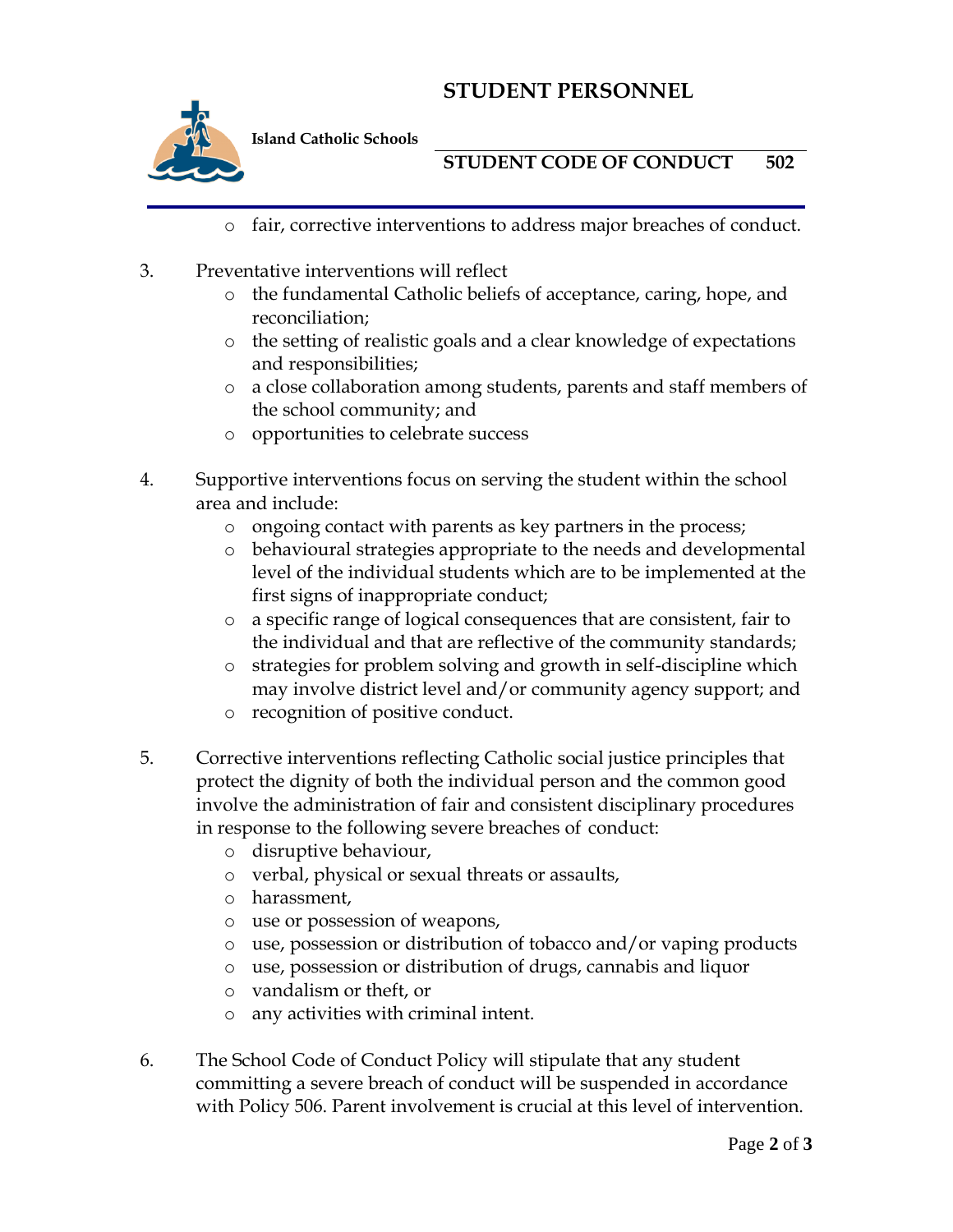# **STUDENT PERSONNEL**



**Island Catholic Schools** 

**STUDENT CODE OF CONDUCT 502**

- o fair, corrective interventions to address major breaches of conduct.
- 3. Preventative interventions will reflect
	- o the fundamental Catholic beliefs of acceptance, caring, hope, and reconciliation;
	- o the setting of realistic goals and a clear knowledge of expectations and responsibilities;
	- o a close collaboration among students, parents and staff members of the school community; and
	- o opportunities to celebrate success
- 4. Supportive interventions focus on serving the student within the school area and include:
	- o ongoing contact with parents as key partners in the process;
	- o behavioural strategies appropriate to the needs and developmental level of the individual students which are to be implemented at the first signs of inappropriate conduct;
	- o a specific range of logical consequences that are consistent, fair to the individual and that are reflective of the community standards;
	- o strategies for problem solving and growth in self-discipline which may involve district level and/or community agency support; and
	- o recognition of positive conduct.
- 5. Corrective interventions reflecting Catholic social justice principles that protect the dignity of both the individual person and the common good involve the administration of fair and consistent disciplinary procedures in response to the following severe breaches of conduct:
	- o disruptive behaviour,
	- o verbal, physical or sexual threats or assaults,
	- o harassment,
	- o use or possession of weapons,
	- o use, possession or distribution of tobacco and/or vaping products
	- o use, possession or distribution of drugs, cannabis and liquor
	- o vandalism or theft, or
	- o any activities with criminal intent.
- 6. The School Code of Conduct Policy will stipulate that any student committing a severe breach of conduct will be suspended in accordance with Policy 506. Parent involvement is crucial at this level of intervention.